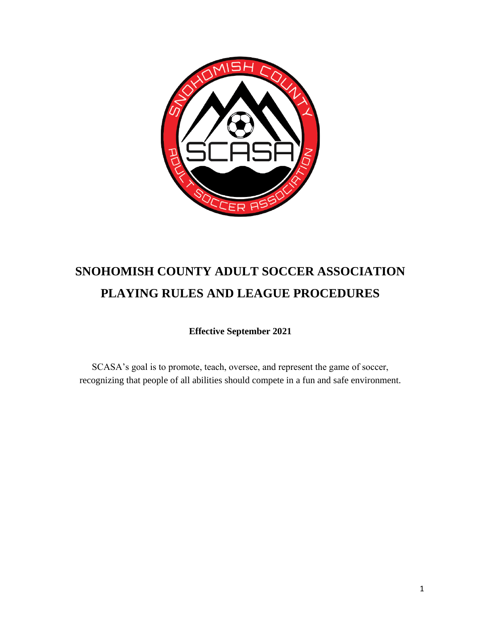

# **SNOHOMISH COUNTY ADULT SOCCER ASSOCIATION PLAYING RULES AND LEAGUE PROCEDURES**

**Effective September 2021**

SCASA's goal is to promote, teach, oversee, and represent the game of soccer, recognizing that people of all abilities should compete in a fun and safe environment.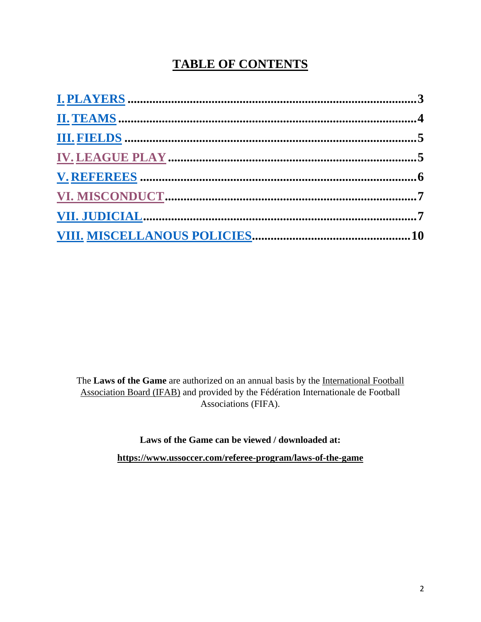# **TABLE OF CONTENTS**

The **Laws of the Game** are authorized on an annual basis by the [International Football](about:blank)  [Association Board \(IFAB\)](about:blank) and provided by the Fédération Internationale de Football Associations (FIFA).

**Laws of the Game can be viewed / downloaded at:**

**[https://www.ussoccer.com/referee-program/laws-of-the-game](about:blank)**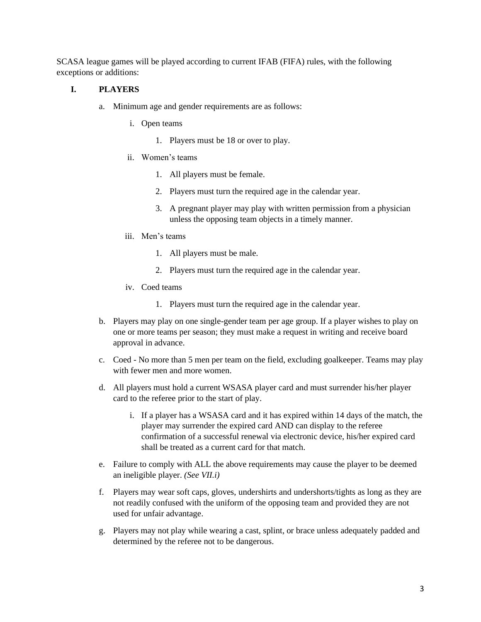SCASA league games will be played according to current IFAB (FIFA) rules, with the following exceptions or additions:

#### <span id="page-2-0"></span>**I. PLAYERS**

- a. Minimum age and gender requirements are as follows:
	- i. Open teams
		- 1. Players must be 18 or over to play.
	- ii. Women's teams
		- 1. All players must be female.
		- 2. Players must turn the required age in the calendar year.
		- 3. A pregnant player may play with written permission from a physician unless the opposing team objects in a timely manner.
	- iii. Men's teams
		- 1. All players must be male.
		- 2. Players must turn the required age in the calendar year.
	- iv. Coed teams
		- 1. Players must turn the required age in the calendar year.
- b. Players may play on one single-gender team per age group. If a player wishes to play on one or more teams per season; they must make a request in writing and receive board approval in advance.
- c. Coed No more than 5 men per team on the field, excluding goalkeeper. Teams may play with fewer men and more women.
- d. All players must hold a current WSASA player card and must surrender his/her player card to the referee prior to the start of play.
	- i. If a player has a WSASA card and it has expired within 14 days of the match, the player may surrender the expired card AND can display to the referee confirmation of a successful renewal via electronic device, his/her expired card shall be treated as a current card for that match.
- e. Failure to comply with ALL the above requirements may cause the player to be deemed an ineligible player. *(See VII.i)*
- f. Players may wear soft caps, gloves, undershirts and undershorts/tights as long as they are not readily confused with the uniform of the opposing team and provided they are not used for unfair advantage.
- g. Players may not play while wearing a cast, splint, or brace unless adequately padded and determined by the referee not to be dangerous.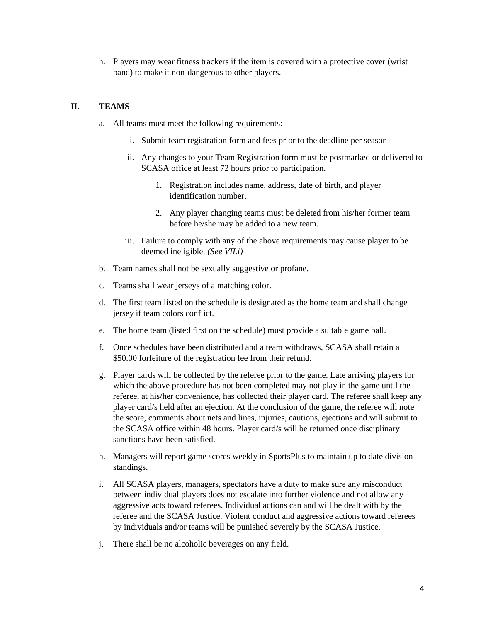h. Players may wear fitness trackers if the item is covered with a protective cover (wrist band) to make it non-dangerous to other players.

# <span id="page-3-0"></span>**II. TEAMS**

- a. All teams must meet the following requirements:
	- i. Submit team registration form and fees prior to the deadline per season
	- ii. Any changes to your Team Registration form must be postmarked or delivered to SCASA office at least 72 hours prior to participation.
		- 1. Registration includes name, address, date of birth, and player identification number.
		- 2. Any player changing teams must be deleted from his/her former team before he/she may be added to a new team.
	- iii. Failure to comply with any of the above requirements may cause player to be deemed ineligible. *(See VII.i)*
- b. Team names shall not be sexually suggestive or profane.
- c. Teams shall wear jerseys of a matching color.
- d. The first team listed on the schedule is designated as the home team and shall change jersey if team colors conflict.
- e. The home team (listed first on the schedule) must provide a suitable game ball.
- f. Once schedules have been distributed and a team withdraws, SCASA shall retain a \$50.00 forfeiture of the registration fee from their refund.
- g. Player cards will be collected by the referee prior to the game. Late arriving players for which the above procedure has not been completed may not play in the game until the referee, at his/her convenience, has collected their player card. The referee shall keep any player card/s held after an ejection. At the conclusion of the game, the referee will note the score, comments about nets and lines, injuries, cautions, ejections and will submit to the SCASA office within 48 hours. Player card/s will be returned once disciplinary sanctions have been satisfied.
- h. Managers will report game scores weekly in SportsPlus to maintain up to date division standings.
- i. All SCASA players, managers, spectators have a duty to make sure any misconduct between individual players does not escalate into further violence and not allow any aggressive acts toward referees. Individual actions can and will be dealt with by the referee and the SCASA Justice. Violent conduct and aggressive actions toward referees by individuals and/or teams will be punished severely by the SCASA Justice.
- j. There shall be no alcoholic beverages on any field.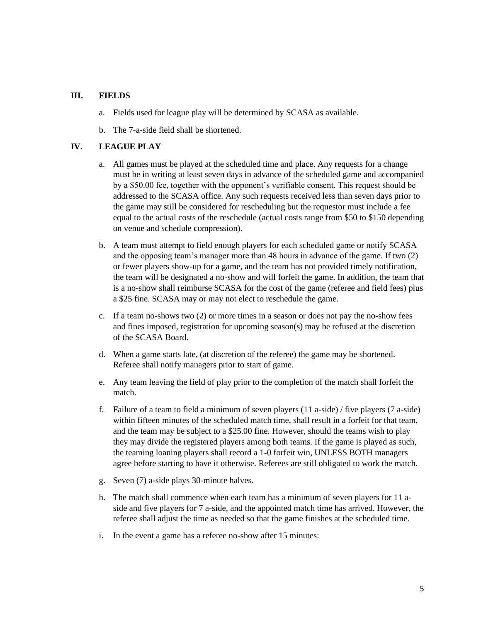#### <span id="page-4-0"></span>**III. FIELDS**

- a. Fields used for league play will be determined by SCASA as available.
- b. The 7-a-side field shall be shortened.

#### <span id="page-4-1"></span>**IV. LEAGUE PLAY**

- a. All games must be played at the scheduled time and place. Any requests for a change must be in writing at least seven days in advance of the scheduled game and accompanied by a \$50.00 fee, together with the opponent's verifiable consent. This request should be addressed to the SCASA office. Any such requests received less than seven days prior to the game may still be considered for rescheduling but the requestor must include a fee equal to the actual costs of the reschedule (actual costs range from \$50 to \$150 depending on venue and schedule compression).
- b. A team must attempt to field enough players for each scheduled game or notify SCASA and the opposing team's manager more than 48 hours in advance of the game. If two (2) or fewer players show-up for a game, and the team has not provided timely notification, the team will be designated a no-show and will forfeit the game. In addition, the team that is a no-show shall reimburse SCASA for the cost of the game (referee and field fees) plus a \$25 fine. SCASA may or may not elect to reschedule the game.
- c. If a team no-shows two (2) or more times in a season or does not pay the no-show fees and fines imposed, registration for upcoming season(s) may be refused at the discretion of the SCASA Board.
- d. When a game starts late, (at discretion of the referee) the game may be shortened. Referee shall notify managers prior to start of game.
- e. Any team leaving the field of play prior to the completion of the match shall forfeit the match.
- f. Failure of a team to field a minimum of seven players (11 a-side) / five players (7 a-side) within fifteen minutes of the scheduled match time, shall result in a forfeit for that team, and the team may be subject to a \$25.00 fine. However, should the teams wish to play they may divide the registered players among both teams. If the game is played as such, the teaming loaning players shall record a 1-0 forfeit win, UNLESS BOTH managers agree before starting to have it otherwise. Referees are still obligated to work the match.
- g. Seven (7) a-side plays 30-minute halves.
- h. The match shall commence when each team has a minimum of seven players for 11 aside and five players for 7 a-side, and the appointed match time has arrived. However, the referee shall adjust the time as needed so that the game finishes at the scheduled time.
- i. In the event a game has a referee no-show after 15 minutes: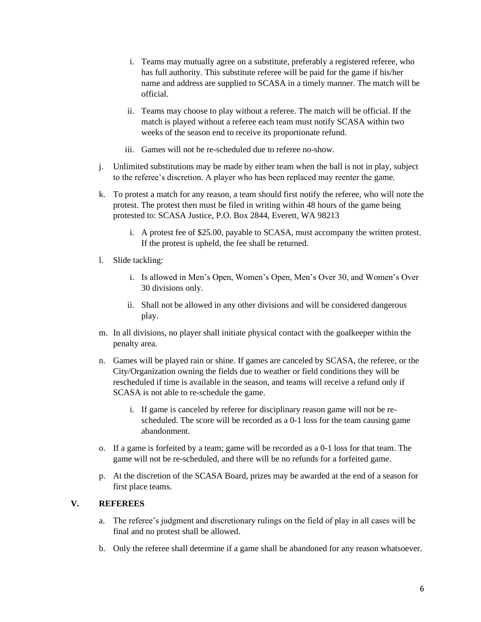- i. Teams may mutually agree on a substitute, preferably a registered referee, who has full authority. This substitute referee will be paid for the game if his/her name and address are supplied to SCASA in a timely manner. The match will be official.
- ii. Teams may choose to play without a referee. The match will be official. If the match is played without a referee each team must notify SCASA within two weeks of the season end to receive its proportionate refund.
- iii. Games will not be re-scheduled due to referee no-show.
- j. Unlimited substitutions may be made by either team when the ball is not in play, subject to the referee's discretion. A player who has been replaced may reenter the game.
- k. To protest a match for any reason, a team should first notify the referee, who will note the protest. The protest then must be filed in writing within 48 hours of the game being protested to: SCASA Justice, P.O. Box 2844, Everett, WA 98213
	- i. A protest fee of \$25.00, payable to SCASA, must accompany the written protest. If the protest is upheld, the fee shall be returned.
- l. Slide tackling:
	- i. Is allowed in Men's Open, Women's Open, Men's Over 30, and Women's Over 30 divisions only.
	- ii. Shall not be allowed in any other divisions and will be considered dangerous play.
- m. In all divisions, no player shall initiate physical contact with the goalkeeper within the penalty area.
- n. Games will be played rain or shine. If games are canceled by SCASA, the referee, or the City/Organization owning the fields due to weather or field conditions they will be rescheduled if time is available in the season, and teams will receive a refund only if SCASA is not able to re-schedule the game.
	- i. If game is canceled by referee for disciplinary reason game will not be rescheduled. The score will be recorded as a 0-1 loss for the team causing game abandonment.
- o. If a game is forfeited by a team; game will be recorded as a 0-1 loss for that team. The game will not be re-scheduled, and there will be no refunds for a forfeited game.
- p. At the discretion of the SCASA Board, prizes may be awarded at the end of a season for first place teams.

## <span id="page-5-0"></span>**V. REFEREES**

- a. The referee's judgment and discretionary rulings on the field of play in all cases will be final and no protest shall be allowed.
- b. Only the referee shall determine if a game shall be abandoned for any reason whatsoever.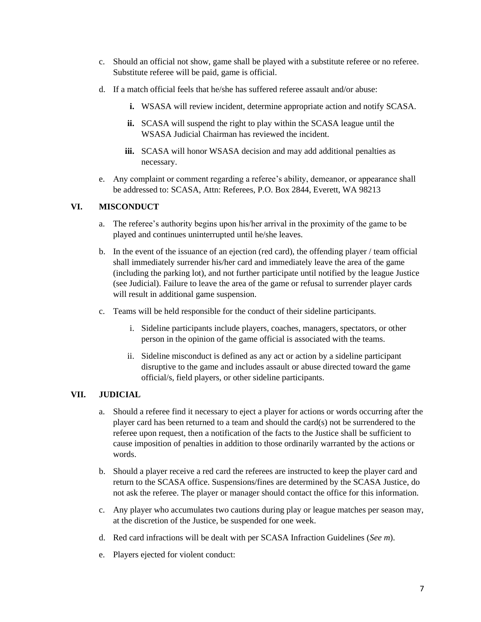- c. Should an official not show, game shall be played with a substitute referee or no referee. Substitute referee will be paid, game is official.
- d. If a match official feels that he/she has suffered referee assault and/or abuse:
	- **i.** WSASA will review incident, determine appropriate action and notify SCASA.
	- **ii.** SCASA will suspend the right to play within the SCASA league until the WSASA Judicial Chairman has reviewed the incident.
	- **iii.** SCASA will honor WSASA decision and may add additional penalties as necessary.
- e. Any complaint or comment regarding a referee's ability, demeanor, or appearance shall be addressed to: SCASA, Attn: Referees, P.O. Box 2844, Everett, WA 98213

## <span id="page-6-0"></span>**VI. MISCONDUCT**

- a. The referee's authority begins upon his/her arrival in the proximity of the game to be played and continues uninterrupted until he/she leaves.
- b. In the event of the issuance of an ejection (red card), the offending player / team official shall immediately surrender his/her card and immediately leave the area of the game (including the parking lot), and not further participate until notified by the league Justice (see Judicial). Failure to leave the area of the game or refusal to surrender player cards will result in additional game suspension.
- c. Teams will be held responsible for the conduct of their sideline participants.
	- i. Sideline participants include players, coaches, managers, spectators, or other person in the opinion of the game official is associated with the teams.
	- ii. Sideline misconduct is defined as any act or action by a sideline participant disruptive to the game and includes assault or abuse directed toward the game official/s, field players, or other sideline participants.

# <span id="page-6-1"></span>**VII. JUDICIAL**

- a. Should a referee find it necessary to eject a player for actions or words occurring after the player card has been returned to a team and should the card(s) not be surrendered to the referee upon request, then a notification of the facts to the Justice shall be sufficient to cause imposition of penalties in addition to those ordinarily warranted by the actions or words.
- b. Should a player receive a red card the referees are instructed to keep the player card and return to the SCASA office. Suspensions/fines are determined by the SCASA Justice, do not ask the referee. The player or manager should contact the office for this information.
- c. Any player who accumulates two cautions during play or league matches per season may, at the discretion of the Justice, be suspended for one week.
- d. Red card infractions will be dealt with per SCASA Infraction Guidelines (*See m*).
- e. Players ejected for violent conduct: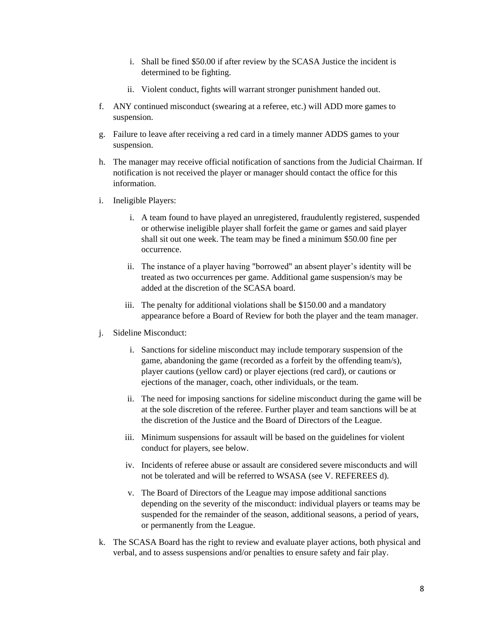- i. Shall be fined \$50.00 if after review by the SCASA Justice the incident is determined to be fighting.
- ii. Violent conduct, fights will warrant stronger punishment handed out.
- f. ANY continued misconduct (swearing at a referee, etc.) will ADD more games to suspension.
- g. Failure to leave after receiving a red card in a timely manner ADDS games to your suspension.
- h. The manager may receive official notification of sanctions from the Judicial Chairman. If notification is not received the player or manager should contact the office for this information.
- i. Ineligible Players:
	- i. A team found to have played an unregistered, fraudulently registered, suspended or otherwise ineligible player shall forfeit the game or games and said player shall sit out one week. The team may be fined a minimum \$50.00 fine per occurrence.
	- ii. The instance of a player having "borrowed" an absent player's identity will be treated as two occurrences per game. Additional game suspension/s may be added at the discretion of the SCASA board.
	- iii. The penalty for additional violations shall be \$150.00 and a mandatory appearance before a Board of Review for both the player and the team manager.
- j. Sideline Misconduct:
	- i. Sanctions for sideline misconduct may include temporary suspension of the game, abandoning the game (recorded as a forfeit by the offending team/s), player cautions (yellow card) or player ejections (red card), or cautions or ejections of the manager, coach, other individuals, or the team.
	- ii. The need for imposing sanctions for sideline misconduct during the game will be at the sole discretion of the referee. Further player and team sanctions will be at the discretion of the Justice and the Board of Directors of the League.
	- iii. Minimum suspensions for assault will be based on the guidelines for violent conduct for players, see below.
	- iv. Incidents of referee abuse or assault are considered severe misconducts and will not be tolerated and will be referred to WSASA (see V. REFEREES d).
	- v. The Board of Directors of the League may impose additional sanctions depending on the severity of the misconduct: individual players or teams may be suspended for the remainder of the season, additional seasons, a period of years, or permanently from the League.
- k. The SCASA Board has the right to review and evaluate player actions, both physical and verbal, and to assess suspensions and/or penalties to ensure safety and fair play.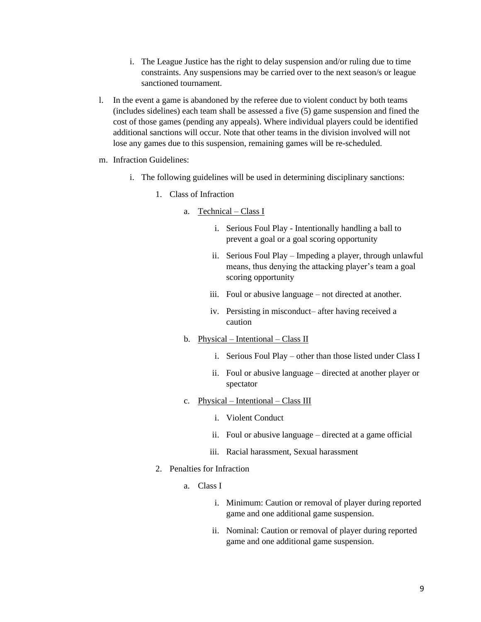- i. The League Justice has the right to delay suspension and/or ruling due to time constraints. Any suspensions may be carried over to the next season/s or league sanctioned tournament.
- l. In the event a game is abandoned by the referee due to violent conduct by both teams (includes sidelines) each team shall be assessed a five (5) game suspension and fined the cost of those games (pending any appeals). Where individual players could be identified additional sanctions will occur. Note that other teams in the division involved will not lose any games due to this suspension, remaining games will be re-scheduled.
- m. Infraction Guidelines:
	- i. The following guidelines will be used in determining disciplinary sanctions:
		- 1. Class of Infraction
			- a. Technical Class I
				- i. Serious Foul Play Intentionally handling a ball to prevent a goal or a goal scoring opportunity
				- ii. Serious Foul Play Impeding a player, through unlawful means, thus denying the attacking player's team a goal scoring opportunity
				- iii. Foul or abusive language not directed at another.
				- iv. Persisting in misconduct– after having received a caution
			- b. Physical Intentional Class II
				- i. Serious Foul Play other than those listed under Class I
				- ii. Foul or abusive language directed at another player or spectator
			- c. Physical Intentional Class III
				- i. Violent Conduct
				- ii. Foul or abusive language directed at a game official
				- iii. Racial harassment, Sexual harassment
		- 2. Penalties for Infraction
			- a. Class I
				- i. Minimum: Caution or removal of player during reported game and one additional game suspension.
				- ii. Nominal: Caution or removal of player during reported game and one additional game suspension.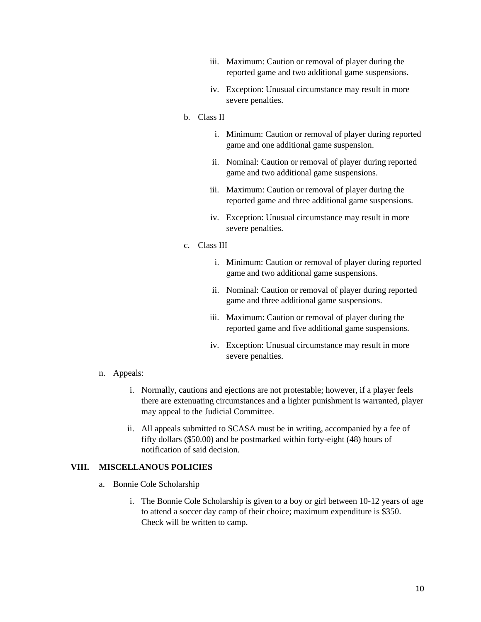- iii. Maximum: Caution or removal of player during the reported game and two additional game suspensions.
- iv. Exception: Unusual circumstance may result in more severe penalties.
- b. Class II
	- i. Minimum: Caution or removal of player during reported game and one additional game suspension.
	- ii. Nominal: Caution or removal of player during reported game and two additional game suspensions.
	- iii. Maximum: Caution or removal of player during the reported game and three additional game suspensions.
	- iv. Exception: Unusual circumstance may result in more severe penalties.
- c. Class III
	- i. Minimum: Caution or removal of player during reported game and two additional game suspensions.
	- ii. Nominal: Caution or removal of player during reported game and three additional game suspensions.
	- iii. Maximum: Caution or removal of player during the reported game and five additional game suspensions.
	- iv. Exception: Unusual circumstance may result in more severe penalties.

- n. Appeals:
	- i. Normally, cautions and ejections are not protestable; however, if a player feels there are extenuating circumstances and a lighter punishment is warranted, player may appeal to the Judicial Committee.
	- ii. All appeals submitted to SCASA must be in writing, accompanied by a fee of fifty dollars (\$50.00) and be postmarked within forty-eight (48) hours of notification of said decision.

#### <span id="page-9-0"></span>**VIII. MISCELLANOUS POLICIES**

- a. Bonnie Cole Scholarship
	- i. The Bonnie Cole Scholarship is given to a boy or girl between 10-12 years of age to attend a soccer day camp of their choice; maximum expenditure is \$350. Check will be written to camp.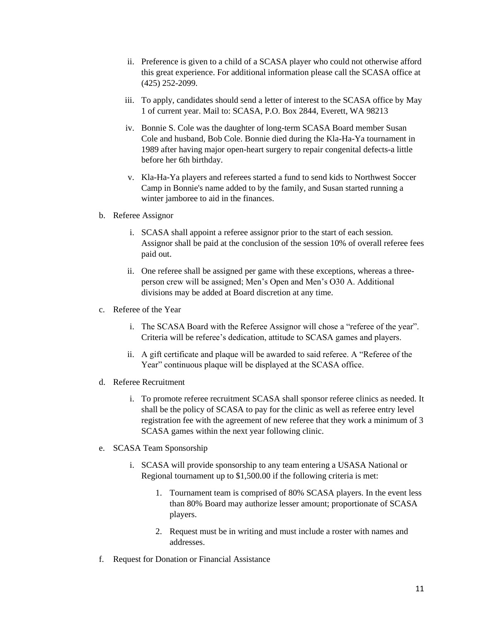- ii. Preference is given to a child of a SCASA player who could not otherwise afford this great experience. For additional information please call the SCASA office at (425) 252-2099.
- iii. To apply, candidates should send a letter of interest to the SCASA office by May 1 of current year. Mail to: SCASA, P.O. Box 2844, Everett, WA 98213
- iv. Bonnie S. Cole was the daughter of long-term SCASA Board member Susan Cole and husband, Bob Cole. Bonnie died during the Kla-Ha-Ya tournament in 1989 after having major open-heart surgery to repair congenital defects-a little before her 6th birthday.
- v. Kla-Ha-Ya players and referees started a fund to send kids to Northwest Soccer Camp in Bonnie's name added to by the family, and Susan started running a winter jamboree to aid in the finances.
- b. Referee Assignor
	- i. SCASA shall appoint a referee assignor prior to the start of each session. Assignor shall be paid at the conclusion of the session 10% of overall referee fees paid out.
	- ii. One referee shall be assigned per game with these exceptions, whereas a threeperson crew will be assigned; Men's Open and Men's O30 A. Additional divisions may be added at Board discretion at any time.
- c. Referee of the Year
	- i. The SCASA Board with the Referee Assignor will chose a "referee of the year". Criteria will be referee's dedication, attitude to SCASA games and players.
	- ii. A gift certificate and plaque will be awarded to said referee. A "Referee of the Year" continuous plaque will be displayed at the SCASA office.
- d. Referee Recruitment
	- i. To promote referee recruitment SCASA shall sponsor referee clinics as needed. It shall be the policy of SCASA to pay for the clinic as well as referee entry level registration fee with the agreement of new referee that they work a minimum of 3 SCASA games within the next year following clinic.
- e. SCASA Team Sponsorship
	- i. SCASA will provide sponsorship to any team entering a USASA National or Regional tournament up to \$1,500.00 if the following criteria is met:
		- 1. Tournament team is comprised of 80% SCASA players. In the event less than 80% Board may authorize lesser amount; proportionate of SCASA players.
		- 2. Request must be in writing and must include a roster with names and addresses.
- f. Request for Donation or Financial Assistance